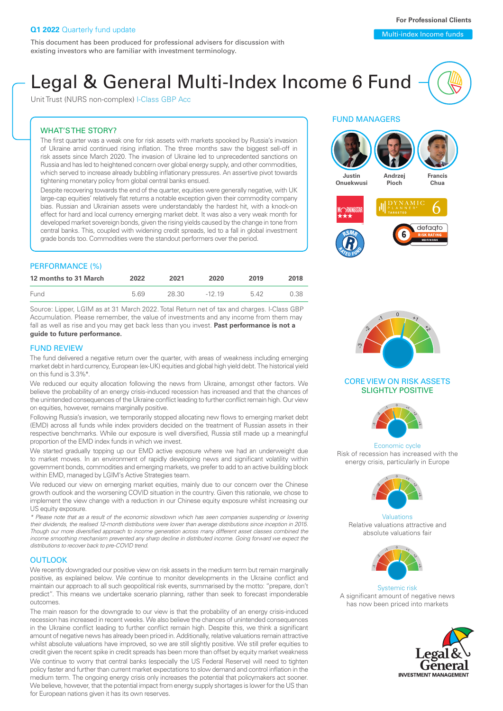Unit Trust (NURS non-complex) I-Class GBP Acc

### WHAT'S THE STORY?

The first quarter was a weak one for risk assets with markets spooked by Russia's invasion of Ukraine amid continued rising inflation. The three months saw the biggest sell-off in risk assets since March 2020. The invasion of Ukraine led to unprecedented sanctions on Russia and has led to heightened concern over global energy supply, and other commodities, which served to increase already bubbling inflationary pressures. An assertive pivot towards tightening monetary policy from global central banks ensued.

Despite recovering towards the end of the quarter, equities were generally negative, with UK large-cap equities' relatively flat returns a notable exception given their commodity company bias. Russian and Ukrainian assets were understandably the hardest hit, with a knock-on effect for hard and local currency emerging market debt. It was also a very weak month for developed market sovereign bonds, given the rising yields caused by the change in tone from central banks. This, coupled with widening credit spreads, led to a fall in global investment grade bonds too. Commodities were the standout performers over the period.

### PERFORMANCE (%)

| 12 months to 31 March | 2022 | 2021  | 2020     | 2019 | 2018 |
|-----------------------|------|-------|----------|------|------|
| Fund                  | 569  | 28.30 | $-12,19$ | 542  | 0.38 |

Source: Lipper, LGIM as at 31 March 2022. Total Return net of tax and charges. I-Class GBP Accumulation. Please remember, the value of investments and any income from them may fall as well as rise and you may get back less than you invest. **Past performance is not a guide to future performance.**

### FUND REVIEW

The fund delivered a negative return over the quarter, with areas of weakness including emerging market debt in hard currency, European (ex-UK) equities and global high yield debt. The historical yield on this fund is 3.3%\*.

We reduced our equity allocation following the news from Ukraine, amongst other factors. We believe the probability of an energy crisis-induced recession has increased and that the chances of the unintended consequences of the Ukraine conflict leading to further conflict remain high. Our view on equities, however, remains marginally positive.

Following Russia's invasion, we temporarily stopped allocating new flows to emerging market debt (EMD) across all funds while index providers decided on the treatment of Russian assets in their respective benchmarks. While our exposure is well diversified, Russia still made up a meaningful proportion of the EMD index funds in which we invest.

We started gradually topping up our EMD active exposure where we had an underweight due to market moves. In an environment of rapidly developing news and significant volatility within government bonds, commodities and emerging markets, we prefer to add to an active building block within EMD, managed by LGIM's Active Strategies team.

We reduced our view on emerging market equities, mainly due to our concern over the Chinese growth outlook and the worsening COVID situation in the country. Given this rationale, we chose to implement the view change with a reduction in our Chinese equity exposure whilst increasing our US equity exposure.

*\* Please note that as a result of the economic slowdown which has seen companies suspending or lowering their dividends, the realised 12-month distributions were lower than average distributions since inception in 2015. Though our more diversified approach to income generation across many different asset classes combined the income smoothing mechanism prevented any sharp decline in distributed income. Going forward we expect the distributions to recover back to pre-COVID trend.*

#### **OUTLOOK**

We recently downgraded our positive view on risk assets in the medium term but remain marginally positive, as explained below. We continue to monitor developments in the Ukraine conflict and maintain our approach to all such geopolitical risk events, summarised by the motto: "prepare, don't predict". This means we undertake scenario planning, rather than seek to forecast imponderable outcomes.

The main reason for the downgrade to our view is that the probability of an energy crisis-induced recession has increased in recent weeks. We also believe the chances of unintended consequences in the Ukraine conflict leading to further conflict remain high. Despite this, we think a significant amount of negative news has already been priced in. Additionally, relative valuations remain attractive whilst absolute valuations have improved, so we are still slightly positive. We still prefer equities to credit given the recent spike in credit spreads has been more than offset by equity market weakness

We continue to worry that central banks (especially the US Federal Reserve) will need to tighten policy faster and further than current market expectations to slow demand and control inflation in the medium term. The ongoing energy crisis only increases the potential that policymakers act sooner. We believe, however, that the potential impact from energy supply shortages is lower for the US than for European nations given it has its own reserves.

### FUND MANAGERS





### CORE VIEW ON RISK ASSETS SLIGHTLY POSITIVE



Economic cycle Risk of recession has increased with the energy crisis, particularly in Europe



Valuations Relative valuations attractive and absolute valuations fair



Systemic risk A significant amount of negative news has now been priced into markets